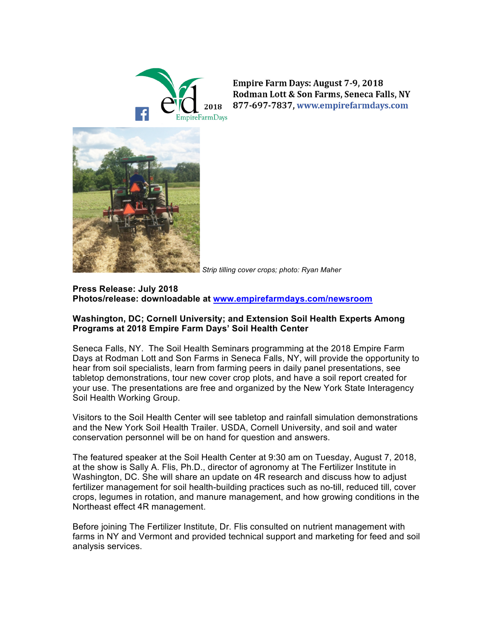

**Empire Farm Days: August 7-9, 2018** Rodman Lott & Son Farms, Seneca Falls, NY 877-697-7837, www.empirefarmdays.com



*Strip tilling cover crops; photo: Ryan Maher*

# **Press Release: July 2018 Photos/release: downloadable at www.empirefarmdays.com/newsroom**

### **Washington, DC; Cornell University; and Extension Soil Health Experts Among Programs at 2018 Empire Farm Days' Soil Health Center**

Seneca Falls, NY. The Soil Health Seminars programming at the 2018 Empire Farm Days at Rodman Lott and Son Farms in Seneca Falls, NY, will provide the opportunity to hear from soil specialists, learn from farming peers in daily panel presentations, see tabletop demonstrations, tour new cover crop plots, and have a soil report created for your use. The presentations are free and organized by the New York State Interagency Soil Health Working Group.

Visitors to the Soil Health Center will see tabletop and rainfall simulation demonstrations and the New York Soil Health Trailer. USDA, Cornell University, and soil and water conservation personnel will be on hand for question and answers.

The featured speaker at the Soil Health Center at 9:30 am on Tuesday, August 7, 2018, at the show is Sally A. Flis, Ph.D., director of agronomy at The Fertilizer Institute in Washington, DC. She will share an update on 4R research and discuss how to adjust fertilizer management for soil health-building practices such as no-till, reduced till, cover crops, legumes in rotation, and manure management, and how growing conditions in the Northeast effect 4R management.

Before joining The Fertilizer Institute, Dr. Flis consulted on nutrient management with farms in NY and Vermont and provided technical support and marketing for feed and soil analysis services.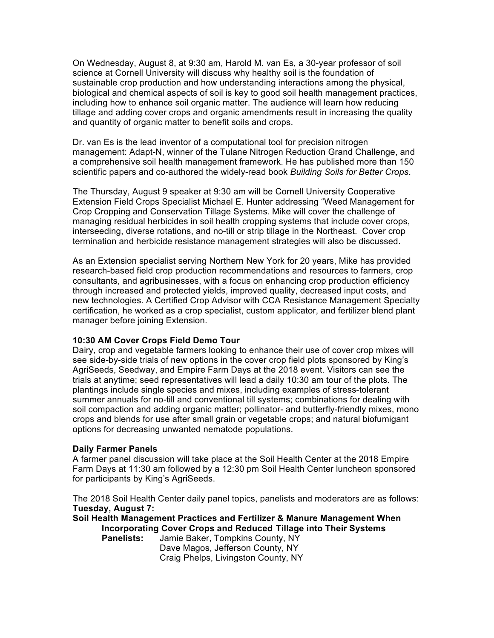On Wednesday, August 8, at 9:30 am, Harold M. van Es, a 30-year professor of soil science at Cornell University will discuss why healthy soil is the foundation of sustainable crop production and how understanding interactions among the physical, biological and chemical aspects of soil is key to good soil health management practices, including how to enhance soil organic matter. The audience will learn how reducing tillage and adding cover crops and organic amendments result in increasing the quality and quantity of organic matter to benefit soils and crops.

Dr. van Es is the lead inventor of a computational tool for precision nitrogen management: Adapt-N, winner of the Tulane Nitrogen Reduction Grand Challenge, and a comprehensive soil health management framework. He has published more than 150 scientific papers and co-authored the widely-read book *Building Soils for Better Crops*.

The Thursday, August 9 speaker at 9:30 am will be Cornell University Cooperative Extension Field Crops Specialist Michael E. Hunter addressing "Weed Management for Crop Cropping and Conservation Tillage Systems. Mike will cover the challenge of managing residual herbicides in soil health cropping systems that include cover crops, interseeding, diverse rotations, and no-till or strip tillage in the Northeast. Cover crop termination and herbicide resistance management strategies will also be discussed.

As an Extension specialist serving Northern New York for 20 years, Mike has provided research-based field crop production recommendations and resources to farmers, crop consultants, and agribusinesses, with a focus on enhancing crop production efficiency through increased and protected yields, improved quality, decreased input costs, and new technologies. A Certified Crop Advisor with CCA Resistance Management Specialty certification, he worked as a crop specialist, custom applicator, and fertilizer blend plant manager before joining Extension.

#### **10:30 AM Cover Crops Field Demo Tour**

Dairy, crop and vegetable farmers looking to enhance their use of cover crop mixes will see side-by-side trials of new options in the cover crop field plots sponsored by King's AgriSeeds, Seedway, and Empire Farm Days at the 2018 event. Visitors can see the trials at anytime; seed representatives will lead a daily 10:30 am tour of the plots. The plantings include single species and mixes, including examples of stress-tolerant summer annuals for no-till and conventional till systems; combinations for dealing with soil compaction and adding organic matter; pollinator- and butterfly-friendly mixes, mono crops and blends for use after small grain or vegetable crops; and natural biofumigant options for decreasing unwanted nematode populations.

#### **Daily Farmer Panels**

A farmer panel discussion will take place at the Soil Health Center at the 2018 Empire Farm Days at 11:30 am followed by a 12:30 pm Soil Health Center luncheon sponsored for participants by King's AgriSeeds.

The 2018 Soil Health Center daily panel topics, panelists and moderators are as follows: **Tuesday, August 7:**

**Soil Health Management Practices and Fertilizer & Manure Management When Incorporating Cover Crops and Reduced Tillage into Their Systems**

**Panelists:** Jamie Baker, Tompkins County, NY Dave Magos, Jefferson County, NY Craig Phelps, Livingston County, NY